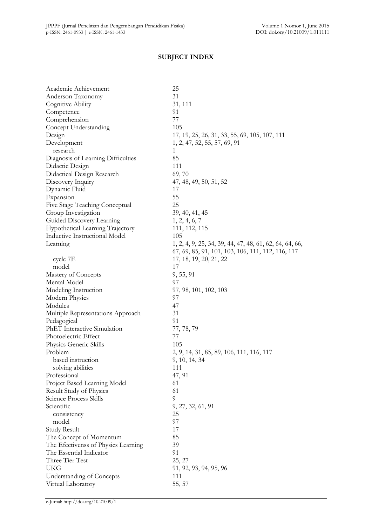## **SUBJECT INDEX**

| Academic Achievement                                | 25                                                      |
|-----------------------------------------------------|---------------------------------------------------------|
| Anderson Taxonomy                                   | 31                                                      |
| Cognitive Ability                                   | 31, 111                                                 |
| Competence                                          | 91                                                      |
| Comprehension                                       | 77                                                      |
| Concept Understanding                               | 105                                                     |
| Design                                              | 17, 19, 25, 26, 31, 33, 55, 69, 105, 107, 111           |
| Development                                         | 1, 2, 47, 52, 55, 57, 69, 91                            |
| research                                            | 1                                                       |
| Diagnosis of Learning Difficulties                  | 85                                                      |
| Didactic Design                                     | 111                                                     |
| Didactical Design Research                          | 69,70                                                   |
| Discovery Inquiry                                   | 47, 48, 49, 50, 51, 52                                  |
| Dynamic Fluid                                       | 17                                                      |
| Expansion                                           | 55                                                      |
| Five Stage Teaching Conceptual                      | 25                                                      |
| Group Investigation                                 | 39, 40, 41, 45                                          |
| Guided Discovery Learning                           | 1, 2, 4, 6, 7                                           |
| Hypothetical Learning Trajectory                    | 111, 112, 115                                           |
| Inductive Instructional Model                       | 105                                                     |
| Learning                                            | 1, 2, 4, 9, 25, 34, 39, 44, 47, 48, 61, 62, 64, 64, 66, |
|                                                     | 67, 69, 85, 91, 101, 103, 106, 111, 112, 116, 117       |
| cycle 7E                                            | 17, 18, 19, 20, 21, 22                                  |
| model                                               | 17                                                      |
| Mastery of Concepts                                 | 9, 55, 91                                               |
| Mental Model                                        | 97                                                      |
| Modeling Instruction                                | 97, 98, 101, 102, 103                                   |
|                                                     | 97                                                      |
| Modern Physics<br>Modules                           | 47                                                      |
|                                                     | 31                                                      |
| Multiple Representations Approach                   | 91                                                      |
| Pedagogical                                         |                                                         |
| PhET Interactive Simulation<br>Photoelectric Effect | 77, 78, 79                                              |
|                                                     | 77                                                      |
| Physics Generic Skills                              | 105                                                     |
| Problem                                             | 2, 9, 14, 31, 85, 89, 106, 111, 116, 117                |
| based instruction                                   | 9, 10, 14, 34                                           |
| solving abilities                                   | 111                                                     |
| Professional                                        | 47, 91                                                  |
| Project Based Learning Model                        | 61                                                      |
| Result Study of Physics                             | 61                                                      |
| Science Process Skills                              | 9                                                       |
| Scientific                                          | 9, 27, 32, 61, 91                                       |
| consistency                                         | 25                                                      |
| model                                               | 97                                                      |
| Study Result                                        | 17                                                      |
| The Concept of Momentum                             | 85                                                      |
| The Efectivenss of Physics Learning                 | 39                                                      |
| The Essential Indicator                             | 91                                                      |
| Three Tier Test                                     | 25, 27                                                  |
| UKG                                                 | 91, 92, 93, 94, 95, 96                                  |
| Understanding of Concepts                           | 111                                                     |
| Virtual Laboratory                                  | 55, 57                                                  |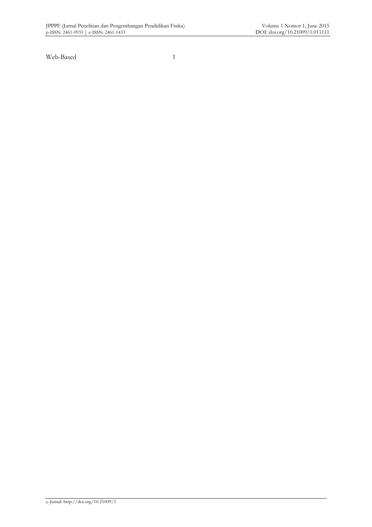Web-Based 1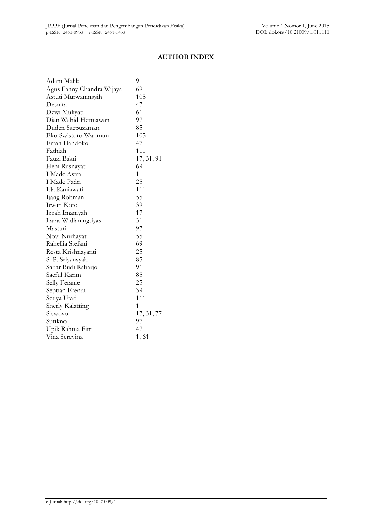#### **AUTHOR INDEX**

| Adam Malik                | 9          |
|---------------------------|------------|
| Agus Fanny Chandra Wijaya | 69         |
| Astuti Murwaningsih       | 105        |
| Desnita                   | 47         |
| Dewi Muliyati             | 61         |
| Dian Wahid Hermawan       | 97         |
| Duden Saepuzaman          | 85         |
| Eko Swistoro Warimun      | 105        |
| Erfan Handoko             | 47         |
| Fathiah                   | 111        |
| Fauzi Bakri               | 17, 31, 91 |
| Heni Rusnayati            | 69         |
| I Made Astra              | 1          |
| I Made Padri              | 25         |
| Ida Kaniawati             | 111        |
| Ijang Rohman              | 55         |
| Irwan Koto                | 39         |
| Izzah Imaniyah            | 17         |
| Laras Widianingtiyas      | 31         |
| Masturi                   | 97         |
| Novi Nurhayati            | 55         |
| Rahellia Stefani          | 69         |
| Resta Krishnayanti        | 25         |
| S. P. Sriyansyah          | 85         |
| Sabar Budi Raharjo        | 91         |
| Saeful Karim              | 85         |
| Selly Feranie             | 25         |
| Septian Efendi            | 39         |
| Setiya Utari              | 111        |
| Sherly Kalatting          | 1          |
| Siswoyo                   | 17, 31, 77 |
| Sutikno                   | 97         |
| Upik Rahma Fitri          | 47         |
| Vina Serevina             | 1,61       |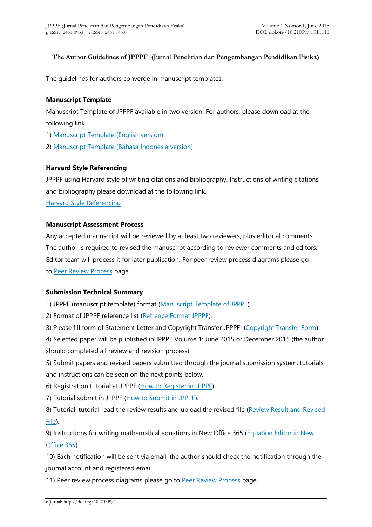#### **The Author Guidelines of JPPPF (Jurnal Penelitian dan Pengembangan Pendidikan Fisika)**

The guidelines for authors converge in manuscript templates.

#### **Manuscript Template**

Manuscript Template of JPPPF available in two version. For authors, please download at the following link.

1) [Manuscript Template \(English version\)](https://drive.google.com/open?id=0B4Xa5CiP3JF8c0ZzQjNmNXI1dHM)

2) [Manuscript Template \(Bahasa Indonesia version\)](https://drive.google.com/open?id=0B4Xa5CiP3JF8enJiTzlMSEI1LUU)

#### **Harvard Style Referencing**

JPPPF using Harvard style of writing citations and bibliography. Instructions of writing citations and bibliography please download at the following link.

[Harvard Style Referencing](https://drive.google.com/open?id=0B4Xa5CiP3JF8M0xVNk0zek0wV00)

#### **Manuscript Assessment Process**

Any accepted manuscript will be reviewed by at least two reviewers, plus editorial comments. The author is required to revised the manuscript according to reviewer comments and editors. Editor team will process it for later publication. For peer review process diagrams please go to [Peer Review Process](http://journal.unj.ac.id/unj/index.php/jpppf/reviewprocess) page.

### **Submission Technical Summary**

1) JPPPF (manuscript template) format [\(Manuscript Template of JPPPF\)](http://journal.unj.ac.id/unj/index.php/jpppf/manuscripttemplate).

2) Format of JPPPF reference list [\(Refrence Format JPPPF\)](http://tiny.cc/FormatRefJPPPF).

3) Please fill form of Statement Letter and Copyright Transfer JPPPF [\(Copyright Transfer Form\)](https://form.jotform.me/72668472702462)

4) Selected paper will be published in JPPPF Volume 1: June 2015 or December 2015 (the author should completed all review and revision process).

5) Submit papers and revised papers submitted through the journal submission system, tutorials and instructions can be seen on the next points below.

6) Registration tutorial at JPPPF [\(How to Register in JPPPF\)](https://youtu.be/VsVdfjGES2s).

7) Tutorial submit in JPPPF [\(How to Submit in JPPPF\)](https://youtu.be/AwNlxiaeVys).

8) Tutorial: tutorial read the review results and upload the revised file (Review Result and Revised [File\)](https://www.youtube.com/watch?v=WlCydgQdrMY).

9) Instructions for writing mathematical equations in New Office 365 (Equation Editor in New [Office 365\)](http://journal.unj.ac.id/unj/index.php/jpppf/equation)

10) Each notification will be sent via email, the author should check the notification through the journal account and registered email.

11) Peer review process diagrams please go to [Peer Review Process](http://journal.unj.ac.id/unj/index.php/jpppf/reviewprocess) page.